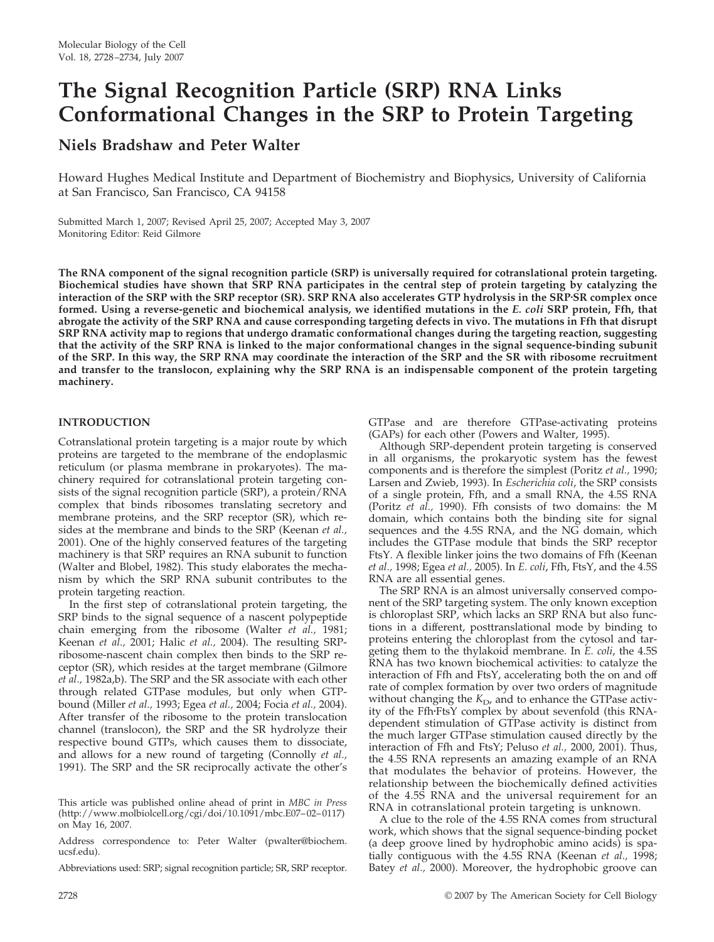# **The Signal Recognition Particle (SRP) RNA Links Conformational Changes in the SRP to Protein Targeting**

# **Niels Bradshaw and Peter Walter**

Howard Hughes Medical Institute and Department of Biochemistry and Biophysics, University of California at San Francisco, San Francisco, CA 94158

Submitted March 1, 2007; Revised April 25, 2007; Accepted May 3, 2007 Monitoring Editor: Reid Gilmore

**The RNA component of the signal recognition particle (SRP) is universally required for cotranslational protein targeting. Biochemical studies have shown that SRP RNA participates in the central step of protein targeting by catalyzing the interaction of the SRP with the SRP receptor (SR). SRP RNA also accelerates GTP hydrolysis in the SRPSR complex once formed. Using a reverse-genetic and biochemical analysis, we identified mutations in the** *E. coli* **SRP protein, Ffh, that abrogate the activity of the SRP RNA and cause corresponding targeting defects in vivo. The mutations in Ffh that disrupt SRP RNA activity map to regions that undergo dramatic conformational changes during the targeting reaction, suggesting that the activity of the SRP RNA is linked to the major conformational changes in the signal sequence-binding subunit of the SRP. In this way, the SRP RNA may coordinate the interaction of the SRP and the SR with ribosome recruitment and transfer to the translocon, explaining why the SRP RNA is an indispensable component of the protein targeting machinery.**

# **INTRODUCTION**

Cotranslational protein targeting is a major route by which proteins are targeted to the membrane of the endoplasmic reticulum (or plasma membrane in prokaryotes). The machinery required for cotranslational protein targeting consists of the signal recognition particle (SRP), a protein/RNA complex that binds ribosomes translating secretory and membrane proteins, and the SRP receptor (SR), which resides at the membrane and binds to the SRP (Keenan *et al.,* 2001). One of the highly conserved features of the targeting machinery is that SRP requires an RNA subunit to function (Walter and Blobel, 1982). This study elaborates the mechanism by which the SRP RNA subunit contributes to the protein targeting reaction.

In the first step of cotranslational protein targeting, the SRP binds to the signal sequence of a nascent polypeptide chain emerging from the ribosome (Walter *et al.,* 1981; Keenan *et al.,* 2001; Halic *et al.,* 2004). The resulting SRPribosome-nascent chain complex then binds to the SRP receptor (SR), which resides at the target membrane (Gilmore *et al.,* 1982a,b). The SRP and the SR associate with each other through related GTPase modules, but only when GTPbound (Miller *et al.,* 1993; Egea *et al.,* 2004; Focia *et al.,* 2004). After transfer of the ribosome to the protein translocation channel (translocon), the SRP and the SR hydrolyze their respective bound GTPs, which causes them to dissociate, and allows for a new round of targeting (Connolly *et al.,* 1991). The SRP and the SR reciprocally activate the other's

This article was published online ahead of print in *MBC in Press* (http://www.molbiolcell.org/cgi/doi/10.1091/mbc.E07–02–0117) on May 16, 2007.

Address correspondence to: Peter Walter (pwalter@biochem. ucsf.edu).

Abbreviations used: SRP; signal recognition particle; SR, SRP receptor.

GTPase and are therefore GTPase-activating proteins (GAPs) for each other (Powers and Walter, 1995).

Although SRP-dependent protein targeting is conserved in all organisms, the prokaryotic system has the fewest components and is therefore the simplest (Poritz *et al.,* 1990; Larsen and Zwieb, 1993). In *Escherichia coli*, the SRP consists of a single protein, Ffh, and a small RNA, the 4.5S RNA (Poritz *et al.,* 1990). Ffh consists of two domains: the M domain, which contains both the binding site for signal sequences and the 4.5S RNA, and the NG domain, which includes the GTPase module that binds the SRP receptor FtsY. A flexible linker joins the two domains of Ffh (Keenan *et al.,* 1998; Egea *et al.,* 2005). In *E. coli*, Ffh, FtsY, and the 4.5S RNA are all essential genes.

The SRP RNA is an almost universally conserved component of the SRP targeting system. The only known exception is chloroplast SRP, which lacks an SRP RNA but also functions in a different, posttranslational mode by binding to proteins entering the chloroplast from the cytosol and targeting them to the thylakoid membrane. In *E. coli*, the 4.5S RNA has two known biochemical activities: to catalyze the interaction of Ffh and FtsY, accelerating both the on and off rate of complex formation by over two orders of magnitude without changing the  $K_{D}$ , and to enhance the GTPase activity of the Ffh·FtsY complex by about sevenfold (this RNAdependent stimulation of GTPase activity is distinct from the much larger GTPase stimulation caused directly by the interaction of Ffh and FtsY; Peluso *et al.,* 2000, 2001). Thus, the 4.5S RNA represents an amazing example of an RNA that modulates the behavior of proteins. However, the relationship between the biochemically defined activities of the 4.5S RNA and the universal requirement for an RNA in cotranslational protein targeting is unknown.

A clue to the role of the 4.5S RNA comes from structural work, which shows that the signal sequence-binding pocket (a deep groove lined by hydrophobic amino acids) is spatially contiguous with the 4.5S RNA (Keenan *et al.,* 1998; Batey *et al.*, 2000). Moreover, the hydrophobic groove can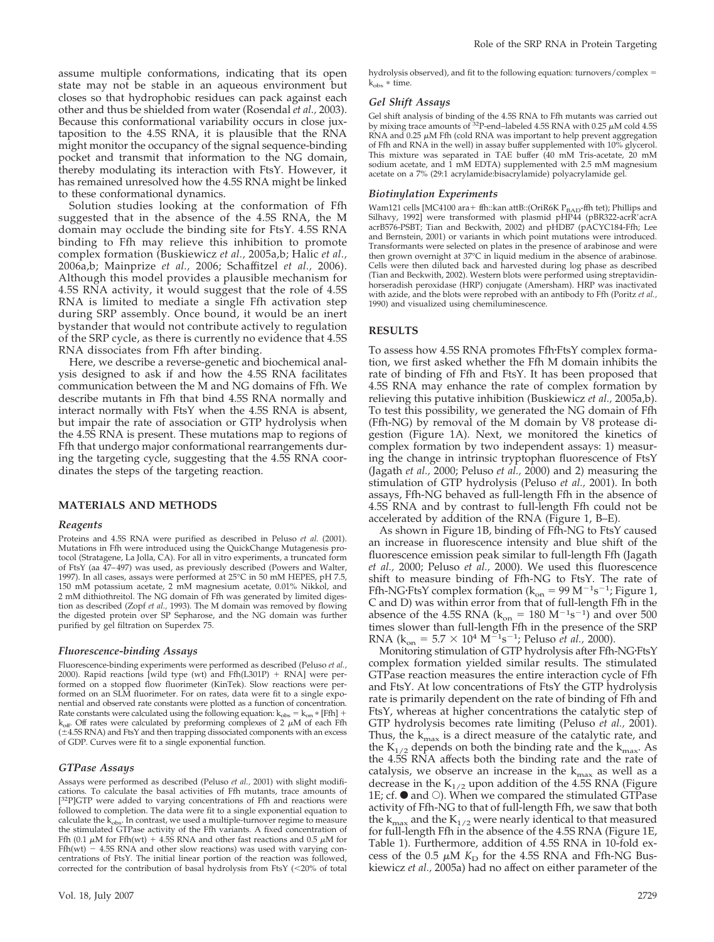assume multiple conformations, indicating that its open state may not be stable in an aqueous environment but closes so that hydrophobic residues can pack against each other and thus be shielded from water (Rosendal *et al.,* 2003). Because this conformational variability occurs in close juxtaposition to the 4.5S RNA, it is plausible that the RNA might monitor the occupancy of the signal sequence-binding pocket and transmit that information to the NG domain, thereby modulating its interaction with FtsY. However, it has remained unresolved how the 4.5S RNA might be linked to these conformational dynamics.

Solution studies looking at the conformation of Ffh suggested that in the absence of the 4.5S RNA, the M domain may occlude the binding site for FtsY. 4.5S RNA binding to Ffh may relieve this inhibition to promote complex formation (Buskiewicz *et al.,* 2005a,b; Halic *et al.,* 2006a,b; Mainprize *et al.,* 2006; Schaffitzel *et al.,* 2006). Although this model provides a plausible mechanism for 4.5S RNA activity, it would suggest that the role of 4.5S RNA is limited to mediate a single Ffh activation step during SRP assembly. Once bound, it would be an inert bystander that would not contribute actively to regulation of the SRP cycle, as there is currently no evidence that 4.5S RNA dissociates from Ffh after binding.

Here, we describe a reverse-genetic and biochemical analysis designed to ask if and how the 4.5S RNA facilitates communication between the M and NG domains of Ffh. We describe mutants in Ffh that bind 4.5S RNA normally and interact normally with FtsY when the 4.5S RNA is absent, but impair the rate of association or GTP hydrolysis when the 4.5S RNA is present. These mutations map to regions of Ffh that undergo major conformational rearrangements during the targeting cycle, suggesting that the 4.5S RNA coordinates the steps of the targeting reaction.

#### **MATERIALS AND METHODS**

#### *Reagents*

Proteins and 4.5S RNA were purified as described in Peluso *et al.* (2001). Mutations in Ffh were introduced using the QuickChange Mutagenesis protocol (Stratagene, La Jolla, CA). For all in vitro experiments, a truncated form of FtsY (aa 47–497) was used, as previously described (Powers and Walter, 1997). In all cases, assays were performed at 25°C in 50 mM HEPES, pH 7.5, 150 mM potassium acetate, 2 mM magnesium acetate, 0.01% Nikkol, and 2 mM dithiothreitol. The NG domain of Ffh was generated by limited digestion as described (Zopf *et al.,* 1993). The M domain was removed by flowing the digested protein over SP Sepharose, and the NG domain was further purified by gel filtration on Superdex 75.

# *Fluorescence-binding Assays*

Fluorescence-binding experiments were performed as described (Peluso *et al.,* 2000). Rapid reactions [wild type (wt) and Ffh(L301P) + RNA] were performed on a stopped flow fluorimeter (KinTek). Slow reactions were performed on an SLM fluorimeter. For on rates, data were fit to a single exponential and observed rate constants were plotted as a function of concentration. Rate constants were calculated using the following equation:  $k_{obs} = k_{on} * [Ffh] +$  $k_{off}$ . Off rates were calculated by preforming complexes of  $2 \mu$ M of each Ffh  $(±4.5S$  RNA) and FtsY and then trapping dissociated components with an excess of GDP. Curves were fit to a single exponential function.

#### *GTPase Assays*

Assays were performed as described (Peluso *et al.,* 2001) with slight modifications. To calculate the basal activities of Ffh mutants, trace amounts of [<sup>32</sup>P]GTP were added to varying concentrations of Ffh and reactions were followed to completion. The data were fit to a single exponential equation to calculate the  $k_{obs}$ . In contrast, we used a multiple-turnover regime to measure the stimulated GTPase activity of the Ffh variants. A fixed concentration of Ffh  $(0.1 \mu M$  for Ffh $(wt)$  + 4.5S RNA and other fast reactions and 0.5  $\mu$ M for  $Ffh(wt) - 4.5S \, RNA$  and other slow reactions) was used with varying concentrations of FtsY. The initial linear portion of the reaction was followed, corrected for the contribution of basal hydrolysis from FtsY (<20% of total

hydrolysis observed), and fit to the following equation: turnovers/complex =  $k_{obs}$  \* time.

#### *Gel Shift Assays*

Gel shift analysis of binding of the 4.5S RNA to Ffh mutants was carried out<br>by mixing trace amounts of <sup>32</sup>P-end–labeled 4.5S RNA with 0.25 μM cold 4.5S RNA and 0.25 M Ffh (cold RNA was important to help prevent aggregation of Ffh and RNA in the well) in assay buffer supplemented with 10% glycerol. This mixture was separated in TAE buffer (40 mM Tris-acetate, 20 mM sodium acetate, and 1 mM EDTA) supplemented with 2.5 mM magnesium acetate on a 7% (29:1 acrylamide:bisacrylamide) polyacrylamide gel.

#### *Biotinylation Experiments*

Wam121 cells [MC4100 ara+ ffh::kan attB::(OriR6K P<sub>BAD</sub>-ffh tet); Phillips and<br>Silhavy, 1992] were transformed with plasmid pHP44 (pBR322-acrR'acrA acrB576-PSBT; Tian and Beckwith, 2002) and pHDB7 (pACYC184-Ffh; Lee and Bernstein, 2001) or variants in which point mutations were introduced. Transformants were selected on plates in the presence of arabinose and were then grown overnight at 37°C in liquid medium in the absence of arabinose. Cells were then diluted back and harvested during log phase as described (Tian and Beckwith, 2002). Western blots were performed using streptavidinhorseradish peroxidase (HRP) conjugate (Amersham). HRP was inactivated with azide, and the blots were reprobed with an antibody to Ffh (Poritz *et al.,* 1990) and visualized using chemiluminescence.

#### **RESULTS**

To assess how 4.5S RNA promotes Ffh·FtsY complex formation, we first asked whether the Ffh M domain inhibits the rate of binding of Ffh and FtsY. It has been proposed that 4.5S RNA may enhance the rate of complex formation by relieving this putative inhibition (Buskiewicz *et al.,* 2005a,b). To test this possibility, we generated the NG domain of Ffh (Ffh-NG) by removal of the M domain by V8 protease digestion (Figure 1A). Next, we monitored the kinetics of complex formation by two independent assays: 1) measuring the change in intrinsic tryptophan fluorescence of FtsY (Jagath *et al.,* 2000; Peluso *et al.,* 2000) and 2) measuring the stimulation of GTP hydrolysis (Peluso *et al.,* 2001). In both assays, Ffh-NG behaved as full-length Ffh in the absence of 4.5S RNA and by contrast to full-length Ffh could not be accelerated by addition of the RNA (Figure 1, B–E).

As shown in Figure 1B, binding of Ffh-NG to FtsY caused an increase in fluorescence intensity and blue shift of the fluorescence emission peak similar to full-length Ffh (Jagath *et al.,* 2000; Peluso *et al.,* 2000). We used this fluorescence shift to measure binding of Ffh-NG to FtsY. The rate of Ffh-NG FtsY complex formation ( $k_{on} = 99 \text{ M}^{-1}\text{s}^{-1}$ ; Figure 1, C and D) was within error from that of full-length Ffh in the absence of the 4.5S RNA ( $k_{on} = 180 \text{ M}^{-1}\text{s}^{-1}$ ) and over 500 times slower than full-length Ffh in the presence of the SRP RNA ( $k_{on} = 5.7 \times 10^4 \text{ M}^{-1} \text{s}^{-1}$ ; Peluso *et al.*, 2000).

Monitoring stimulation of GTP hydrolysis after Ffh-NG·FtsY complex formation yielded similar results. The stimulated GTPase reaction measures the entire interaction cycle of Ffh and FtsY. At low concentrations of FtsY the GTP hydrolysis rate is primarily dependent on the rate of binding of Ffh and FtsY, whereas at higher concentrations the catalytic step of GTP hydrolysis becomes rate limiting (Peluso *et al.,* 2001). Thus, the  $k_{\text{max}}$  is a direct measure of the catalytic rate, and the  $K_{1/2}$  depends on both the binding rate and the  $k_{\text{max}}$ . As the 4.5S RNA affects both the binding rate and the rate of catalysis, we observe an increase in the  $k_{\text{max}}$  as well as a decrease in the  $K_{1/2}$  upon addition of the 4.5S RNA (Figure<br>1E; cf.  $\bullet$  and  $\odot$ ). When we compared the stimulated GTPase activity of Ffh-NG to that of full-length Ffh, we saw that both the  $k_{\text{max}}$  and the  $K_{1/2}$  were nearly identical to that measured for full-length Ffh in the absence of the 4.5S RNA (Figure 1E, Table 1). Furthermore, addition of 4.5S RNA in 10-fold excess of the 0.5  $\mu$ M  $K<sub>D</sub>$  for the 4.5S RNA and Ffh-NG Buskiewicz *et al.,* 2005a) had no affect on either parameter of the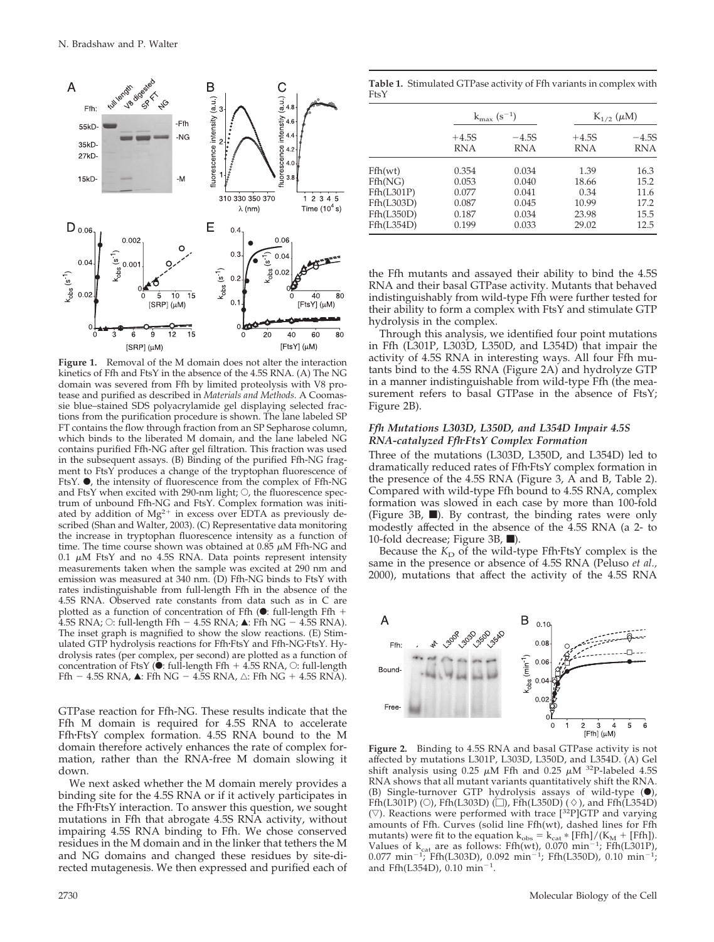

**Figure 1.** Removal of the M domain does not alter the interaction kinetics of Ffh and FtsY in the absence of the 4.5S RNA. (A) The NG domain was severed from Ffh by limited proteolysis with V8 protease and purified as described in *Materials and Methods.* A Coomassie blue–stained SDS polyacrylamide gel displaying selected fractions from the purification procedure is shown. The lane labeled SP FT contains the flow through fraction from an SP Sepharose column, which binds to the liberated M domain, and the lane labeled NG contains purified Ffh-NG after gel filtration. This fraction was used in the subsequent assays. (B) Binding of the purified Ffh-NG fragment to FtsY produces a change of the tryptophan fluorescence of FtsY.  $\bullet$ , the intensity of fluorescence from the complex of Ffh-NG and FtsY when excited with 290-nm light;  $\circ$ , the fluorescence spectrum of unbound Ffh-NG and FtsY. Complex formation was initiated by addition of  $Mg^{2+}$  in excess over EDTA as previously described (Shan and Walter, 2003). (C) Representative data monitoring the increase in tryptophan fluorescence intensity as a function of time. The time course shown was obtained at  $0.85 \mu M$  Ffh-NG and 0.1  $\mu$ M FtsY and no 4.5S RNA. Data points represent intensity measurements taken when the sample was excited at 290 nm and emission was measured at 340 nm. (D) Ffh-NG binds to FtsY with rates indistinguishable from full-length Ffh in the absence of the 4.5S RNA. Observed rate constants from data such as in C are plotted as a function of concentration of Ffh  $\bullet$ : full-length Ffh +  $4.5$ S RNA;  $\circ$ : full-length Ffh  $-4.5$ S RNA;  $\triangle$ : Ffh NG  $-4.5$ S RNA). The inset graph is magnified to show the slow reactions. (E) Stimulated GTP hydrolysis reactions for Ffh·FtsY and Ffh-NG·FtsY. Hydrolysis rates (per complex, per second) are plotted as a function of concentration of FtsY ( $\hat{\bullet}$ : full-length Ffh + 4.5S RNA,  $\circ$ : full-length Ffh  $-$  4.5S RNA,  $\triangle$ : Ffh NG  $-$  4.5S RNA,  $\triangle$ : Ffh NG  $+$  4.5S RNA).

GTPase reaction for Ffh-NG. These results indicate that the Ffh M domain is required for 4.5S RNA to accelerate FfhFtsY complex formation. 4.5S RNA bound to the M domain therefore actively enhances the rate of complex formation, rather than the RNA-free M domain slowing it down.

We next asked whether the M domain merely provides a binding site for the 4.5S RNA or if it actively participates in the FfhFtsY interaction. To answer this question, we sought mutations in Ffh that abrogate 4.5S RNA activity, without impairing 4.5S RNA binding to Ffh. We chose conserved residues in the M domain and in the linker that tethers the M and NG domains and changed these residues by site-directed mutagenesis. We then expressed and purified each of

**Table 1.** Stimulated GTPase activity of Ffh variants in complex with FtsY

| $-4.5S$    |                       |                       |
|------------|-----------------------|-----------------------|
| <b>RNA</b> | $+4.5S$<br><b>RNA</b> | $-4.5S$<br><b>RNA</b> |
| 0.034      | 1.39                  | 16.3                  |
| 0.040      | 18.66                 | 15.2                  |
| 0.041      | 0.34                  | 11.6                  |
| 0.045      | 10.99                 | 17.2                  |
| 0.034      | 23.98                 | 15.5                  |
| 0.033      | 29.02                 | 12.5                  |
|            |                       |                       |

the Ffh mutants and assayed their ability to bind the 4.5S RNA and their basal GTPase activity. Mutants that behaved indistinguishably from wild-type Ffh were further tested for their ability to form a complex with FtsY and stimulate GTP hydrolysis in the complex.

Through this analysis, we identified four point mutations in Ffh (L301P, L303D, L350D, and L354D) that impair the activity of 4.5S RNA in interesting ways. All four Ffh mutants bind to the 4.5S RNA (Figure 2A) and hydrolyze GTP in a manner indistinguishable from wild-type Ffh (the measurement refers to basal GTPase in the absence of FtsY; Figure 2B).

## *Ffh Mutations L303D, L350D, and L354D Impair 4.5S RNA-catalyzed FfhFtsY Complex Formation*

Three of the mutations (L303D, L350D, and L354D) led to dramatically reduced rates of Ffh·FtsY complex formation in the presence of the 4.5S RNA (Figure 3, A and B, Table 2). Compared with wild-type Ffh bound to 4.5S RNA, complex formation was slowed in each case by more than 100-fold (Figure 3B,  $\blacksquare$ ). By contrast, the binding rates were only modestly affected in the absence of the 4.5S RNA (a 2- to 10-fold decrease; Figure 3B,  $\blacksquare$ ).

Because the  $K<sub>D</sub>$  of the wild-type Ffh·FtsY complex is the same in the presence or absence of 4.5S RNA (Peluso *et al.,* 2000), mutations that affect the activity of the 4.5S RNA



**Figure 2.** Binding to 4.5S RNA and basal GTPase activity is not affected by mutations L301P, L303D, L350D, and L354D. (A) Gel shift analysis using 0.25  $\mu$ M Ffh and 0.25  $\mu$ M <sup>32</sup>P-labeled 4.5S RNA shows that all mutant variants quantitatively shift the RNA. (B) Single-turnover GTP hydrolysis assays of wild-type  $(①)$ ,  $Ffh(L301P)$  (O),  $Ffh(L303D)$  ( $\Box$ ),  $Ffh(L350D)$  ( $\diamond$ ), and  $Ffh(L354D)$  $(\nabla)$ . Reactions were performed with trace  $[3^{2}P]GTP$  and varying amounts of Ffh. Curves (solid line Ffh(wt), dashed lines for Ffh mutants) were fit to the equation  $k_{obs} = k_{cat} * [Ffh]/(K_M + [Ffh]).$ <br>Values of  $k_{cat}$  are as follows: Ffh(wt), 0.070 min<sup>-1</sup>; Ffh(L301P), 0.077 min<sup>-1</sup>; Ffh(L303D), 0.092 min<sup>-1</sup>; Ffh(L350D), 0.10 min<sup>-1</sup>; and Ffh(L354D),  $0.10 \text{ min}^{-1}$ .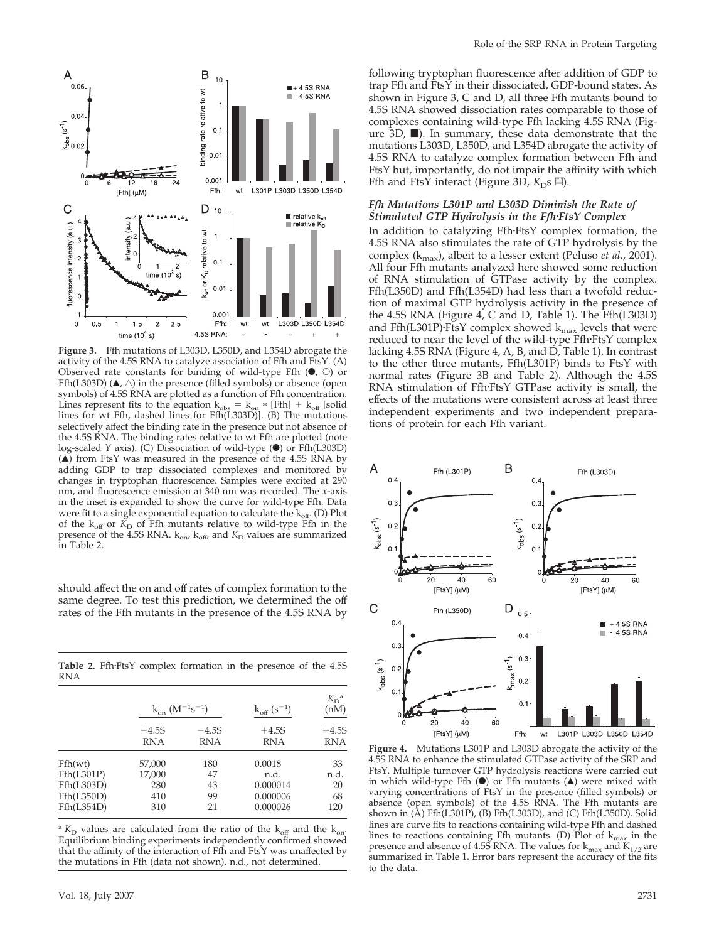

**Figure 3.** Ffh mutations of L303D, L350D, and L354D abrogate the activity of the 4.5S RNA to catalyze association of Ffh and FtsY. (A) Observed rate constants for binding of wild-type Ffh  $(①, ③)$  or Ffh(L303D) ( $\blacktriangle$ ,  $\triangle$ ) in the presence (filled symbols) or absence (open symbols) of 4.5S RNA are plotted as a function of Ffh concentration. Lines represent fits to the equation  $k_{obs} = k_{on} * [Ffh] + k_{off}$  [solid lines for wt Ffh, dashed lines for Ffh(L303D)]. (B) The mutations selectively affect the binding rate in the presence but not absence of the 4.5S RNA. The binding rates relative to wt Ffh are plotted (note log-scaled *Y* axis). (C) Dissociation of wild-type ( $\bullet$ ) or Ffh(L303D)  $(\triangle)$  from FtsY was measured in the presence of the 4.5S RNA by adding GDP to trap dissociated complexes and monitored by changes in tryptophan fluorescence. Samples were excited at 290 nm, and fluorescence emission at 340 nm was recorded. The *x*-axis in the inset is expanded to show the curve for wild-type Ffh. Data were fit to a single exponential equation to calculate the  $k_{off}$ . (D) Plot of the  $k_{off}$  or  $\tilde{K}_{D}$  of Ffh mutants relative to wild-type Ffh in the presence of the 4.5S RNA.  $k_{on}$ ,  $k_{off}$ , and  $K_D$  values are summarized in Table 2.

should affect the on and off rates of complex formation to the same degree. To test this prediction, we determined the off rates of the Ffh mutants in the presence of the 4.5S RNA by

Table 2. Ffh·FtsY complex formation in the presence of the 4.5S RNA

|            | $k_{on}$ (M <sup>-1</sup> s <sup>-1</sup> ) |            | $k_{off}$ (s <sup>-1</sup> ) | $K_{\rm D}^{\rm a}$<br>(nM) |
|------------|---------------------------------------------|------------|------------------------------|-----------------------------|
|            | $+4.5S$                                     | $-4.5S$    | $+4.5S$                      | $+4.5S$                     |
|            | <b>RNA</b>                                  | <b>RNA</b> | <b>RNA</b>                   | RNA                         |
| Ffh(wt)    | 57,000                                      | 180        | 0.0018                       | 33                          |
| Ffh(L301P) | 17,000                                      | 47         | n.d.                         | n.d.                        |
| Ffh(L303D) | 280                                         | 43         | 0.000014                     | 20                          |
| Ffh(L350D) | 410                                         | 99         | 0.000006                     | 68                          |
| Ffh(L354D) | 310                                         | 21         | 0.000026                     | 120                         |

<sup>a</sup>  $K_D$  values are calculated from the ratio of the  $k_{off}$  and the  $k_{on}$ . Equilibrium binding experiments independently confirmed showed that the affinity of the interaction of Ffh and FtsY was unaffected by the mutations in Ffh (data not shown). n.d., not determined.

following tryptophan fluorescence after addition of GDP to trap Ffh and Fts $\bar{Y}$  in their dissociated, GDP-bound states. As shown in Figure 3, C and D, all three Ffh mutants bound to 4.5S RNA showed dissociation rates comparable to those of complexes containing wild-type Ffh lacking 4.5S RNA (Figure 3D,  $\blacksquare$ ). In summary, these data demonstrate that the mutations L303D, L350D, and L354D abrogate the activity of 4.5S RNA to catalyze complex formation between Ffh and FtsY but, importantly, do not impair the affinity with which Ffh and FtsY interact (Figure 3D,  $K_{D}$ s a).

# *Ffh Mutations L301P and L303D Diminish the Rate of Stimulated GTP Hydrolysis in the FfhFtsY Complex*

In addition to catalyzing Ffh·FtsY complex formation, the 4.5S RNA also stimulates the rate of GTP hydrolysis by the complex (k<sub>max</sub>), albeit to a lesser extent (Peluso *et al.*, 2001). All four Ffh mutants analyzed here showed some reduction of RNA stimulation of GTPase activity by the complex. Ffh(L350D) and Ffh(L354D) had less than a twofold reduction of maximal GTP hydrolysis activity in the presence of the 4.5S RNA (Figure 4, C and D, Table 1). The Ffh(L303D) and Ffh(L301P) $\cdot$ FtsY complex showed  $k_{\text{max}}$  levels that were reduced to near the level of the wild-type FfhFtsY complex lacking 4.5S RNA (Figure 4, A, B, and D, Table 1). In contrast to the other three mutants, Ffh(L301P) binds to FtsY with normal rates (Figure 3B and Table 2). Although the 4.5S RNA stimulation of FfhFtsY GTPase activity is small, the effects of the mutations were consistent across at least three independent experiments and two independent preparations of protein for each Ffh variant.



**Figure 4.** Mutations L301P and L303D abrogate the activity of the 4.5S RNA to enhance the stimulated GTPase activity of the SRP and FtsY. Multiple turnover GTP hydrolysis reactions were carried out in which wild-type Ffh  $(\bullet)$  or Ffh mutants  $(\triangle)$  were mixed with varying concentrations of FtsY in the presence (filled symbols) or absence (open symbols) of the 4.5S RNA. The Ffh mutants are shown in (A) Ffh(L301P), (B) Ffh(L303D), and (C) Ffh(L350D). Solid lines are curve fits to reactions containing wild-type Ffh and dashed lines to reactions containing Ffh mutants. (D) Plot of  $k_{max}$  in the presence and absence of 4.5S RNA. The values for  $k_{max}$  and  $K_{1/2}$  are summarized in Table 1. Error bars represent the accuracy of the fits to the data.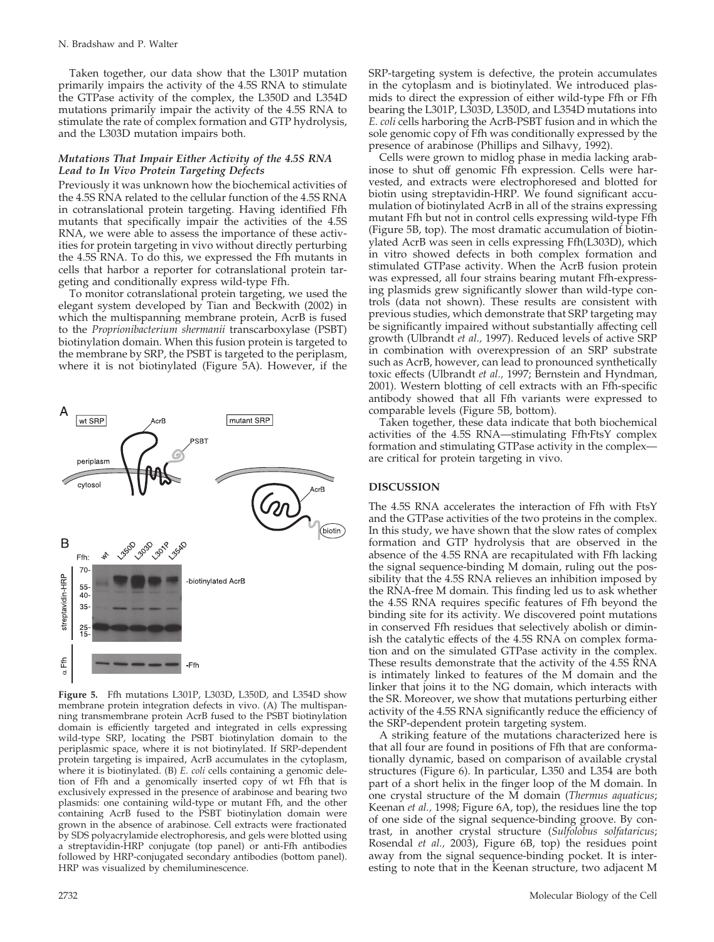Taken together, our data show that the L301P mutation primarily impairs the activity of the 4.5S RNA to stimulate the GTPase activity of the complex, the L350D and L354D mutations primarily impair the activity of the 4.5S RNA to stimulate the rate of complex formation and GTP hydrolysis, and the L303D mutation impairs both.

# *Mutations That Impair Either Activity of the 4.5S RNA Lead to In Vivo Protein Targeting Defects*

Previously it was unknown how the biochemical activities of the 4.5S RNA related to the cellular function of the 4.5S RNA in cotranslational protein targeting. Having identified Ffh mutants that specifically impair the activities of the 4.5S RNA, we were able to assess the importance of these activities for protein targeting in vivo without directly perturbing the 4.5S RNA. To do this, we expressed the Ffh mutants in cells that harbor a reporter for cotranslational protein targeting and conditionally express wild-type Ffh.

To monitor cotranslational protein targeting, we used the elegant system developed by Tian and Beckwith (2002) in which the multispanning membrane protein, AcrB is fused to the *Proprionibacterium shermanii* transcarboxylase (PSBT) biotinylation domain. When this fusion protein is targeted to the membrane by SRP, the PSBT is targeted to the periplasm, where it is not biotinylated (Figure 5A). However, if the



**Figure 5.** Ffh mutations L301P, L303D, L350D, and L354D show membrane protein integration defects in vivo. (A) The multispanning transmembrane protein AcrB fused to the PSBT biotinylation domain is efficiently targeted and integrated in cells expressing wild-type SRP, locating the PSBT biotinylation domain to the periplasmic space, where it is not biotinylated. If SRP-dependent protein targeting is impaired, AcrB accumulates in the cytoplasm, where it is biotinylated. (B) *E. coli* cells containing a genomic deletion of Ffh and a genomically inserted copy of wt Ffh that is exclusively expressed in the presence of arabinose and bearing two plasmids: one containing wild-type or mutant Ffh, and the other containing AcrB fused to the PSBT biotinylation domain were grown in the absence of arabinose. Cell extracts were fractionated by SDS polyacrylamide electrophoresis, and gels were blotted using a streptavidin-HRP conjugate (top panel) or anti-Ffh antibodies followed by HRP-conjugated secondary antibodies (bottom panel). HRP was visualized by chemiluminescence.

SRP-targeting system is defective, the protein accumulates in the cytoplasm and is biotinylated. We introduced plasmids to direct the expression of either wild-type Ffh or Ffh bearing the L301P, L303D, L350D, and L354D mutations into *E. coli* cells harboring the AcrB-PSBT fusion and in which the sole genomic copy of Ffh was conditionally expressed by the presence of arabinose (Phillips and Silhavy, 1992).

Cells were grown to midlog phase in media lacking arabinose to shut off genomic Ffh expression. Cells were harvested, and extracts were electrophoresed and blotted for biotin using streptavidin-HRP. We found significant accumulation of biotinylated AcrB in all of the strains expressing mutant Ffh but not in control cells expressing wild-type Ffh (Figure 5B, top). The most dramatic accumulation of biotinylated AcrB was seen in cells expressing Ffh(L303D), which in vitro showed defects in both complex formation and stimulated GTPase activity. When the AcrB fusion protein was expressed, all four strains bearing mutant Ffh-expressing plasmids grew significantly slower than wild-type controls (data not shown). These results are consistent with previous studies, which demonstrate that SRP targeting may be significantly impaired without substantially affecting cell growth (Ulbrandt *et al.,* 1997). Reduced levels of active SRP in combination with overexpression of an SRP substrate such as AcrB, however, can lead to pronounced synthetically toxic effects (Ulbrandt *et al.,* 1997; Bernstein and Hyndman, 2001). Western blotting of cell extracts with an Ffh-specific antibody showed that all Ffh variants were expressed to comparable levels (Figure 5B, bottom).

Taken together, these data indicate that both biochemical activities of the 4.5S RNA-stimulating Ffh·FtsY complex formation and stimulating GTPase activity in the complex are critical for protein targeting in vivo.

# **DISCUSSION**

The 4.5S RNA accelerates the interaction of Ffh with FtsY and the GTPase activities of the two proteins in the complex. In this study, we have shown that the slow rates of complex formation and GTP hydrolysis that are observed in the absence of the 4.5S RNA are recapitulated with Ffh lacking the signal sequence-binding M domain, ruling out the possibility that the 4.5S RNA relieves an inhibition imposed by the RNA-free M domain. This finding led us to ask whether the 4.5S RNA requires specific features of Ffh beyond the binding site for its activity. We discovered point mutations in conserved Ffh residues that selectively abolish or diminish the catalytic effects of the 4.5S RNA on complex formation and on the simulated GTPase activity in the complex. These results demonstrate that the activity of the 4.5S RNA is intimately linked to features of the M domain and the linker that joins it to the NG domain, which interacts with the SR. Moreover, we show that mutations perturbing either activity of the 4.5S RNA significantly reduce the efficiency of the SRP-dependent protein targeting system.

A striking feature of the mutations characterized here is that all four are found in positions of Ffh that are conformationally dynamic, based on comparison of available crystal structures (Figure 6). In particular, L350 and L354 are both part of a short helix in the finger loop of the M domain. In one crystal structure of the M domain (*Thermus aquaticus*; Keenan *et al.,* 1998; Figure 6A, top), the residues line the top of one side of the signal sequence-binding groove. By contrast, in another crystal structure (*Sulfolobus solfataricus*; Rosendal *et al.,* 2003), Figure 6B, top) the residues point away from the signal sequence-binding pocket. It is interesting to note that in the Keenan structure, two adjacent M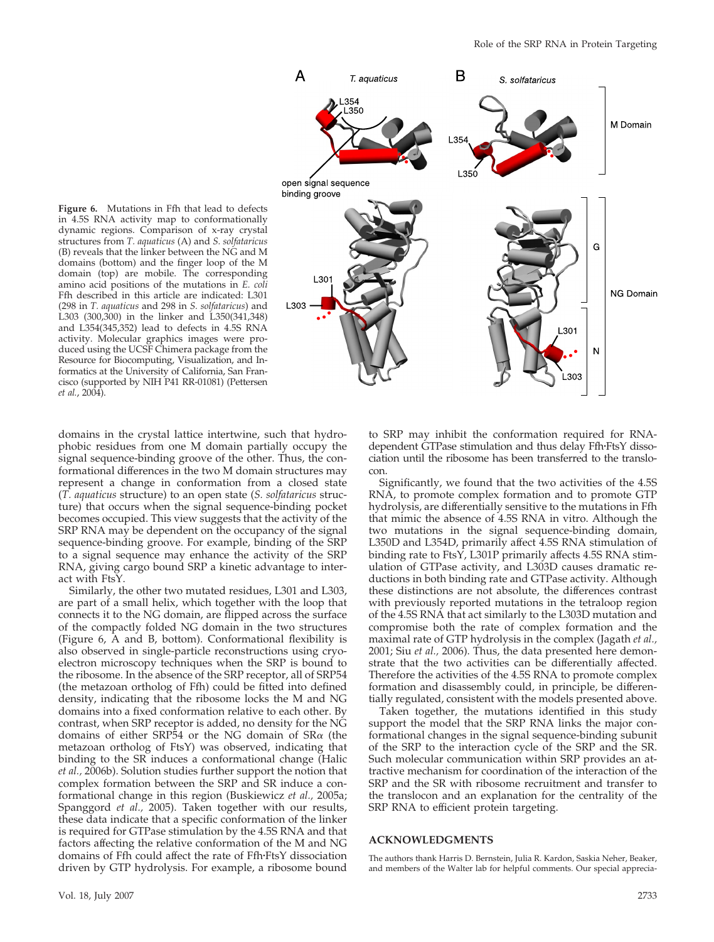

**Figure 6.** Mutations in Ffh that lead to defects in 4.5S RNA activity map to conformationally dynamic regions. Comparison of x-ray crystal structures from *T. aquaticus* (A) and *S. solfataricus* (B) reveals that the linker between the NG and M domains (bottom) and the finger loop of the M domain (top) are mobile. The corresponding amino acid positions of the mutations in *E. coli* Ffh described in this article are indicated: L301 (298 in *T. aquaticus* and 298 in *S. solfataricus*) and L303 (300,300) in the linker and L350(341,348) and L354(345,352) lead to defects in 4.5S RNA activity. Molecular graphics images were produced using the UCSF Chimera package from the Resource for Biocomputing, Visualization, and Informatics at the University of California, San Francisco (supported by NIH P41 RR-01081) (Pettersen *et al.*, 2004).

domains in the crystal lattice intertwine, such that hydrophobic residues from one M domain partially occupy the signal sequence-binding groove of the other. Thus, the conformational differences in the two M domain structures may represent a change in conformation from a closed state (*T. aquaticus* structure) to an open state (*S. solfataricus* structure) that occurs when the signal sequence-binding pocket becomes occupied. This view suggests that the activity of the SRP RNA may be dependent on the occupancy of the signal sequence-binding groove. For example, binding of the SRP to a signal sequence may enhance the activity of the SRP RNA, giving cargo bound SRP a kinetic advantage to interact with FtsY.

Similarly, the other two mutated residues, L301 and L303, are part of a small helix, which together with the loop that connects it to the NG domain, are flipped across the surface of the compactly folded NG domain in the two structures (Figure 6, A and B, bottom). Conformational flexibility is also observed in single-particle reconstructions using cryoelectron microscopy techniques when the SRP is bound to the ribosome. In the absence of the SRP receptor, all of SRP54 (the metazoan ortholog of Ffh) could be fitted into defined density, indicating that the ribosome locks the M and NG domains into a fixed conformation relative to each other. By contrast, when SRP receptor is added, no density for the NG domains of either SRP54 or the NG domain of SR $\alpha$  (the metazoan ortholog of FtsY) was observed, indicating that binding to the SR induces a conformational change (Halic *et al.,* 2006b). Solution studies further support the notion that complex formation between the SRP and SR induce a conformational change in this region (Buskiewicz *et al.,* 2005a; Spanggord *et al.,* 2005). Taken together with our results, these data indicate that a specific conformation of the linker is required for GTPase stimulation by the 4.5S RNA and that factors affecting the relative conformation of the M and NG domains of Ffh could affect the rate of Ffh·FtsY dissociation driven by GTP hydrolysis. For example, a ribosome bound

to SRP may inhibit the conformation required for RNAdependent GTPase stimulation and thus delay Ffh·FtsY dissociation until the ribosome has been transferred to the translocon.

Significantly, we found that the two activities of the 4.5S RNA, to promote complex formation and to promote GTP hydrolysis, are differentially sensitive to the mutations in Ffh that mimic the absence of 4.5S RNA in vitro. Although the two mutations in the signal sequence-binding domain, L350D and L354D, primarily affect 4.5S RNA stimulation of binding rate to FtsY, L301P primarily affects 4.5S RNA stimulation of GTPase activity, and L303D causes dramatic reductions in both binding rate and GTPase activity. Although these distinctions are not absolute, the differences contrast with previously reported mutations in the tetraloop region of the 4.5S RNA that act similarly to the L303D mutation and compromise both the rate of complex formation and the maximal rate of GTP hydrolysis in the complex (Jagath *et al.,* 2001; Siu *et al.,* 2006). Thus, the data presented here demonstrate that the two activities can be differentially affected. Therefore the activities of the 4.5S RNA to promote complex formation and disassembly could, in principle, be differentially regulated, consistent with the models presented above.

Taken together, the mutations identified in this study support the model that the SRP RNA links the major conformational changes in the signal sequence-binding subunit of the SRP to the interaction cycle of the SRP and the SR. Such molecular communication within SRP provides an attractive mechanism for coordination of the interaction of the SRP and the SR with ribosome recruitment and transfer to the translocon and an explanation for the centrality of the SRP RNA to efficient protein targeting.

## **ACKNOWLEDGMENTS**

The authors thank Harris D. Bernstein, Julia R. Kardon, Saskia Neher, Beaker, and members of the Walter lab for helpful comments. Our special apprecia-